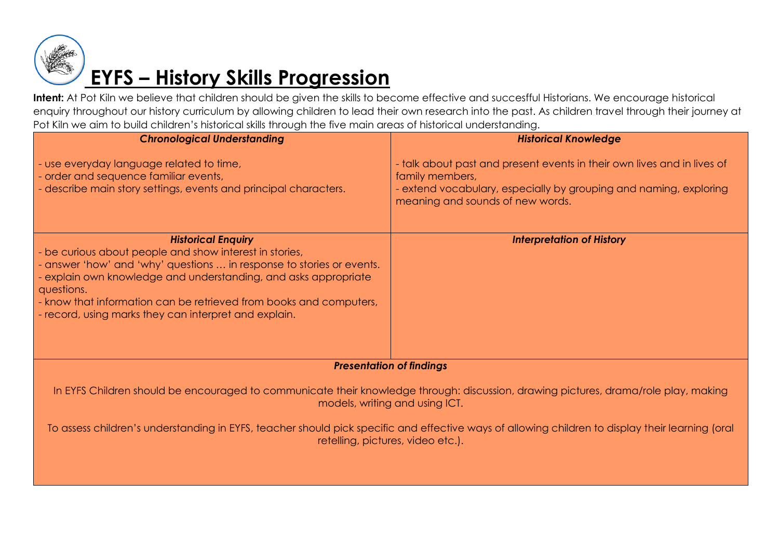

# **EYFS – History Skills Progression**

Intent: At Pot Kiln we believe that children should be given the skills to become effective and succesfful Historians. We encourage historical enquiry throughout our history curriculum by allowing children to lead their own research into the past. As children travel through their journey at Pot Kiln we aim to build children's historical skills through the five main areas of historical understanding.

| <b>Chronological Understanding</b>                                                                                                                                                                                                                                                                                                                                            | <b>Historical Knowledge</b>                                                                                                                                                                         |
|-------------------------------------------------------------------------------------------------------------------------------------------------------------------------------------------------------------------------------------------------------------------------------------------------------------------------------------------------------------------------------|-----------------------------------------------------------------------------------------------------------------------------------------------------------------------------------------------------|
| - use everyday language related to time,<br>- order and sequence familiar events,<br>- describe main story settings, events and principal characters.                                                                                                                                                                                                                         | - talk about past and present events in their own lives and in lives of<br>family members,<br>- extend vocabulary, especially by grouping and naming, exploring<br>meaning and sounds of new words. |
| <b>Historical Enquiry</b><br>- be curious about people and show interest in stories,<br>- answer 'how' and 'why' questions  in response to stories or events.<br>- explain own knowledge and understanding, and asks appropriate<br>questions.<br>- know that information can be retrieved from books and computers,<br>- record, using marks they can interpret and explain. | <b>Interpretation of History</b>                                                                                                                                                                    |
| <b>Presentation of findings</b>                                                                                                                                                                                                                                                                                                                                               |                                                                                                                                                                                                     |
| In EYFS Children should be encouraged to communicate their knowledge through: discussion, drawing pictures, drama/role play, making<br>models, writing and using ICT.                                                                                                                                                                                                         |                                                                                                                                                                                                     |
| To assess children's understanding in EYFS, teacher should pick specific and effective ways of allowing children to display their learning (oral<br>retelling, pictures, video etc.).                                                                                                                                                                                         |                                                                                                                                                                                                     |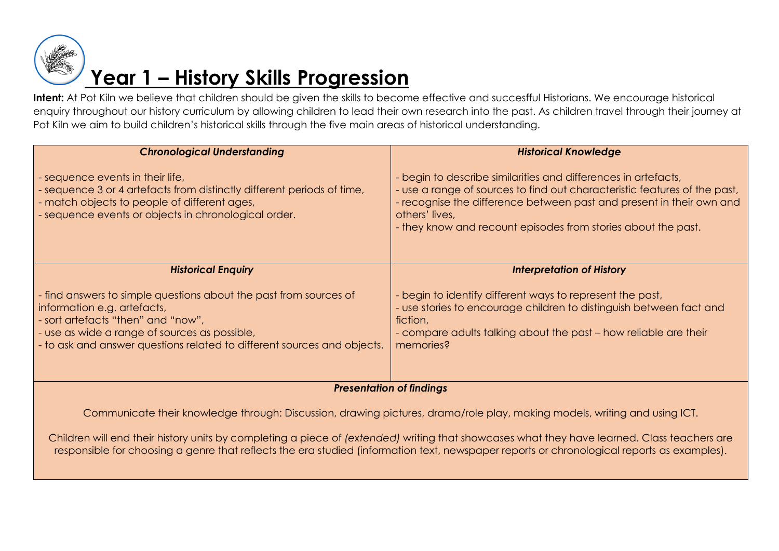

| <b>Chronological Understanding</b>                                                                                                                                                                                                                                 | <b>Historical Knowledge</b>                                                                                                                                                                                                                                                                          |
|--------------------------------------------------------------------------------------------------------------------------------------------------------------------------------------------------------------------------------------------------------------------|------------------------------------------------------------------------------------------------------------------------------------------------------------------------------------------------------------------------------------------------------------------------------------------------------|
| - sequence events in their life,<br>- sequence 3 or 4 artefacts from distinctly different periods of time,<br>- match objects to people of different ages,<br>- sequence events or objects in chronological order.                                                 | begin to describe similarities and differences in artefacts,<br>- use a range of sources to find out characteristic features of the past,<br>- recognise the difference between past and present in their own and<br>others' lives,<br>- they know and recount episodes from stories about the past. |
| <b>Historical Enquiry</b>                                                                                                                                                                                                                                          | <b>Interpretation of History</b>                                                                                                                                                                                                                                                                     |
| - find answers to simple questions about the past from sources of<br>information e.g. artefacts,<br>- sort artefacts "then" and "now",<br>- use as wide a range of sources as possible,<br>- to ask and answer questions related to different sources and objects. | - begin to identify different ways to represent the past,<br>- use stories to encourage children to distinguish between fact and<br>fiction,<br>- compare adults talking about the past - how reliable are their<br>memories?                                                                        |
| <b>Presentation of findings</b>                                                                                                                                                                                                                                    |                                                                                                                                                                                                                                                                                                      |

Communicate their knowledge through: Discussion, drawing pictures, drama/role play, making models, writing and using ICT.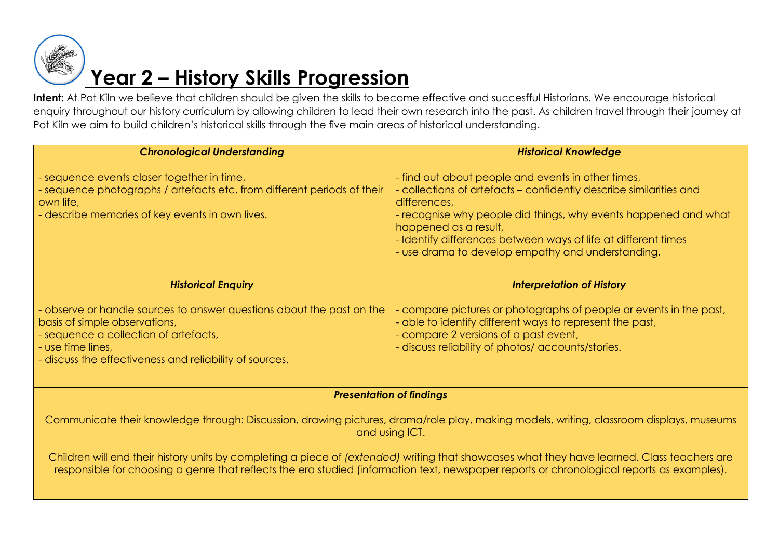

| <b>Chronological Understanding</b>                                                                                                                                                                                              | <b>Historical Knowledge</b>                                                                                                                                                                                                                                                                                                                                 |
|---------------------------------------------------------------------------------------------------------------------------------------------------------------------------------------------------------------------------------|-------------------------------------------------------------------------------------------------------------------------------------------------------------------------------------------------------------------------------------------------------------------------------------------------------------------------------------------------------------|
| - sequence events closer together in time,<br>- sequence photographs / artefacts etc. from different periods of their<br>own life,<br>- describe memories of key events in own lives.                                           | - find out about people and events in other times,<br>- collections of artefacts – confidently describe similarities and<br>differences,<br>- recognise why people did things, why events happened and what<br>happened as a result,<br>- Identify differences between ways of life at different times<br>- use drama to develop empathy and understanding. |
| <b>Historical Enquiry</b>                                                                                                                                                                                                       | <b>Interpretation of History</b>                                                                                                                                                                                                                                                                                                                            |
| - observe or handle sources to answer questions about the past on the<br>basis of simple observations,<br>- sequence a collection of artefacts,<br>- use time lines,<br>- discuss the effectiveness and reliability of sources. | - compare pictures or photographs of people or events in the past,<br>- able to identify different ways to represent the past,<br>- compare 2 versions of a past event,<br>- discuss reliability of photos/ accounts/stories.                                                                                                                               |
| <b>Presentation of findings</b>                                                                                                                                                                                                 |                                                                                                                                                                                                                                                                                                                                                             |

Communicate their knowledge through: Discussion, drawing pictures, drama/role play, making models, writing, classroom displays, museums and using ICT.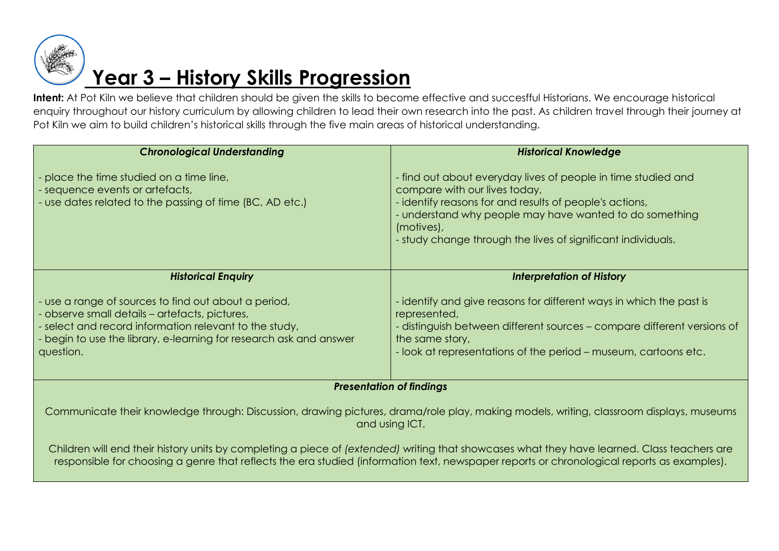

| <b>Chronological Understanding</b>                                                                                                                                                                                                                  | <b>Historical Knowledge</b>                                                                                                                                                                                                                                                                    |
|-----------------------------------------------------------------------------------------------------------------------------------------------------------------------------------------------------------------------------------------------------|------------------------------------------------------------------------------------------------------------------------------------------------------------------------------------------------------------------------------------------------------------------------------------------------|
| - place the time studied on a time line,<br>- sequence events or artefacts,<br>- use dates related to the passing of time (BC, AD etc.)                                                                                                             | - find out about everyday lives of people in time studied and<br>compare with our lives today,<br>identify reasons for and results of people's actions,<br>understand why people may have wanted to do something<br>(motives),<br>- study change through the lives of significant individuals. |
| <b>Historical Enquiry</b>                                                                                                                                                                                                                           | <b>Interpretation of History</b>                                                                                                                                                                                                                                                               |
| - use a range of sources to find out about a period,<br>- observe small details – artefacts, pictures,<br>- select and record information relevant to the study,<br>- begin to use the library, e-learning for research ask and answer<br>question. | identify and give reasons for different ways in which the past is<br>represented,<br>distinguish between different sources – compare different versions of<br>the same story,<br>- look at representations of the period – museum, cartoons etc.                                               |
| <b>Presentation of findings</b>                                                                                                                                                                                                                     |                                                                                                                                                                                                                                                                                                |

Communicate their knowledge through: Discussion, drawing pictures, drama/role play, making models, writing, classroom displays, museums and using ICT.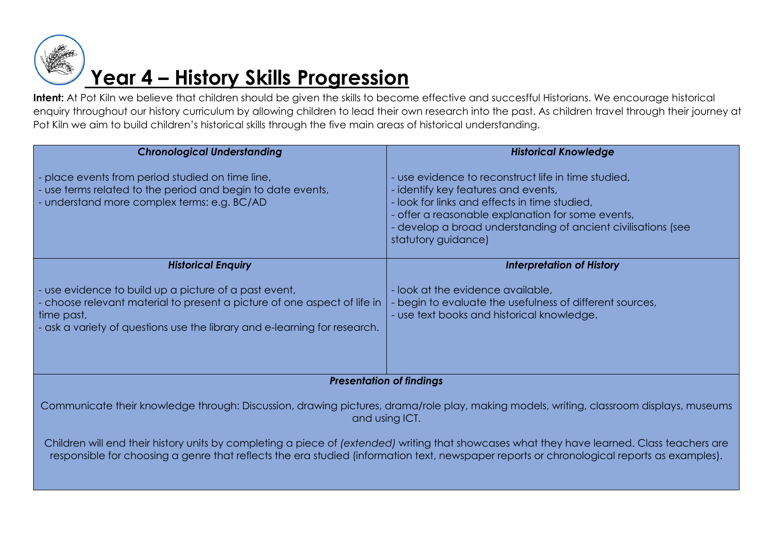

| <b>Historical Knowledge</b>                                                                                                                                                                                                                                                    |  |
|--------------------------------------------------------------------------------------------------------------------------------------------------------------------------------------------------------------------------------------------------------------------------------|--|
| use evidence to reconstruct life in time studied,<br>identify key features and events,<br>look for links and effects in time studied,<br>offer a reasonable explanation for some events,<br>develop a broad understanding of ancient civilisations (see<br>statutory guidance) |  |
| <b>Interpretation of History</b>                                                                                                                                                                                                                                               |  |
| look at the evidence available,<br>begin to evaluate the usefulness of different sources,<br>- use text books and historical knowledge.                                                                                                                                        |  |
| <b>Presentation of findings</b>                                                                                                                                                                                                                                                |  |
| - choose relevant material to present a picture of one aspect of life in                                                                                                                                                                                                       |  |

Communicate their knowledge through: Discussion, drawing pictures, drama/role play, making models, writing, classroom displays, museums and using ICT.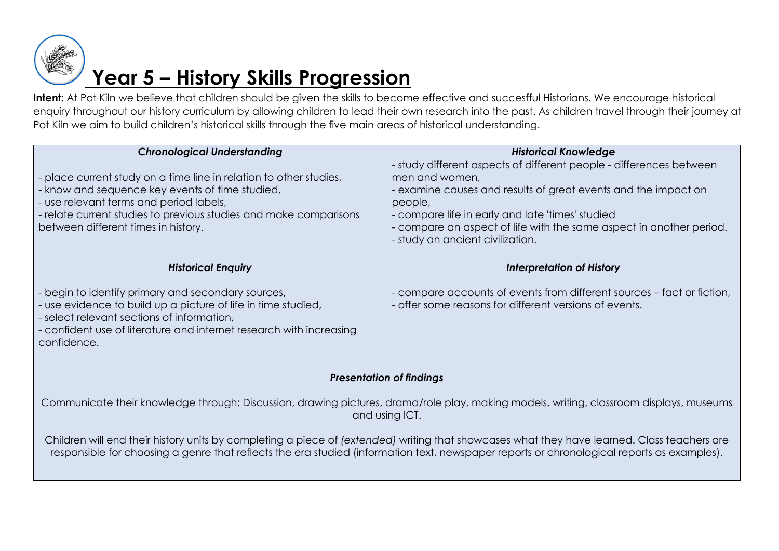

| <b>Chronological Understanding</b>                                                                                                                                                                                                                                                        | <b>Historical Knowledge</b>                                                                                                                                                                                                                                                                                               |
|-------------------------------------------------------------------------------------------------------------------------------------------------------------------------------------------------------------------------------------------------------------------------------------------|---------------------------------------------------------------------------------------------------------------------------------------------------------------------------------------------------------------------------------------------------------------------------------------------------------------------------|
| - place current study on a time line in relation to other studies,<br>- know and sequence key events of time studied,<br>- use relevant terms and period labels,<br>- relate current studies to previous studies and make comparisons<br>between different times in history.              | - study different aspects of different people - differences between<br>men and women,<br>examine causes and results of great events and the impact on<br>people,<br>compare life in early and late 'times' studied<br>compare an aspect of life with the same aspect in another period.<br>study an ancient civilization. |
| <b>Historical Enquiry</b>                                                                                                                                                                                                                                                                 | <b>Interpretation of History</b>                                                                                                                                                                                                                                                                                          |
|                                                                                                                                                                                                                                                                                           |                                                                                                                                                                                                                                                                                                                           |
| - begin to identify primary and secondary sources,<br>- use evidence to build up a picture of life in time studied,<br>- select relevant sections of information,<br>- confident use of literature and internet research with increasing<br>confidence.                                   | compare accounts of events from different sources – fact or fiction,<br>offer some reasons for different versions of events.                                                                                                                                                                                              |
| <b>Presentation of findings</b>                                                                                                                                                                                                                                                           |                                                                                                                                                                                                                                                                                                                           |
| Communicate their knowledge through: Discussion, drawing pictures, drama/role play, making models, writing, classroom displays, museums<br>and using ICT.                                                                                                                                 |                                                                                                                                                                                                                                                                                                                           |
| Children will end their history units by completing a piece of (extended) writing that showcases what they have learned. Class teachers are<br>responsible for choosing a genre that reflects the era studied (information text, newspaper reports or chronological reports as examples). |                                                                                                                                                                                                                                                                                                                           |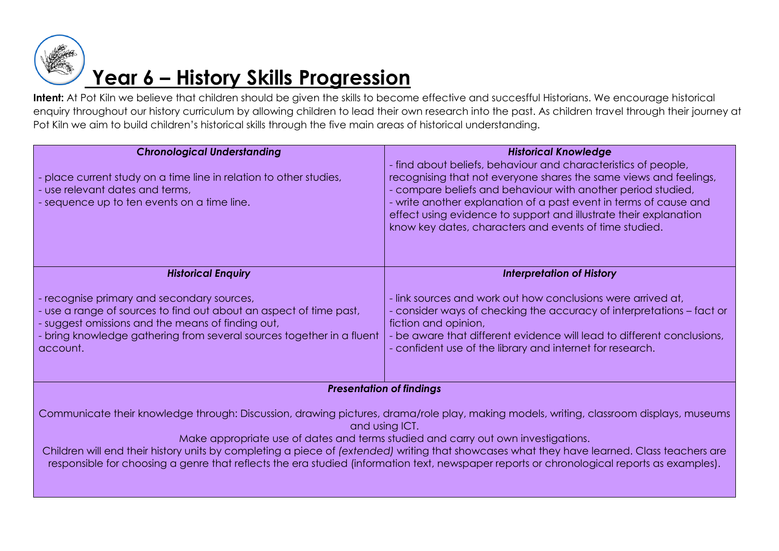

## **Year 6 – History Skills Progression**

Intent: At Pot Kiln we believe that children should be given the skills to become effective and succesfful Historians. We encourage historical enquiry throughout our history curriculum by allowing children to lead their own research into the past. As children travel through their journey at Pot Kiln we aim to build children's historical skills through the five main areas of historical understanding.

| <b>Chronological Understanding</b><br>place current study on a time line in relation to other studies,<br>- use relevant dates and terms,<br>- sequence up to ten events on a time line.                                                                 | <b>Historical Knowledge</b><br>- find about beliefs, behaviour and characteristics of people,<br>recognising that not everyone shares the same views and feelings,<br>- compare beliefs and behaviour with another period studied,<br>- write another explanation of a past event in terms of cause and<br>effect using evidence to support and illustrate their explanation<br>know key dates, characters and events of time studied. |
|----------------------------------------------------------------------------------------------------------------------------------------------------------------------------------------------------------------------------------------------------------|----------------------------------------------------------------------------------------------------------------------------------------------------------------------------------------------------------------------------------------------------------------------------------------------------------------------------------------------------------------------------------------------------------------------------------------|
| <b>Historical Enquiry</b>                                                                                                                                                                                                                                | <b>Interpretation of History</b>                                                                                                                                                                                                                                                                                                                                                                                                       |
| - recognise primary and secondary sources,<br>- use a range of sources to find out about an aspect of time past,<br>- suggest omissions and the means of finding out,<br>bring knowledge gathering from several sources together in a fluent<br>account. | - link sources and work out how conclusions were arrived at,<br>- consider ways of checking the accuracy of interpretations – fact or<br>fiction and opinion,<br>be aware that different evidence will lead to different conclusions.<br>- confident use of the library and internet for research.                                                                                                                                     |
| <b>Presentation of findings</b>                                                                                                                                                                                                                          |                                                                                                                                                                                                                                                                                                                                                                                                                                        |

Communicate their knowledge through: Discussion, drawing pictures, drama/role play, making models, writing, classroom displays, museums and using ICT.

Make appropriate use of dates and terms studied and carry out own investigations.